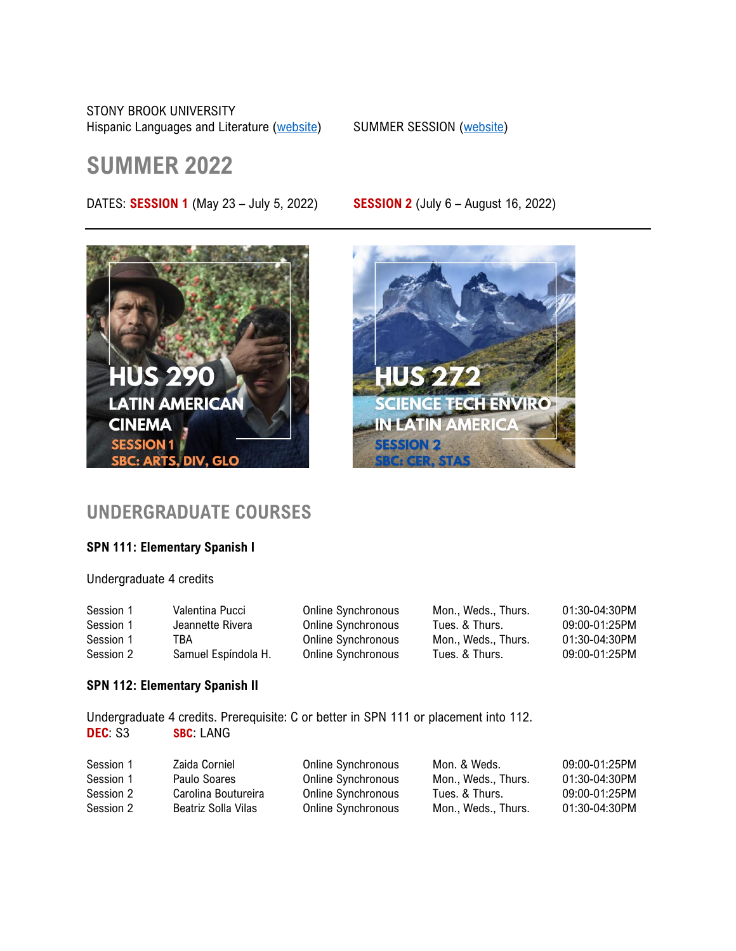STONY BROOK UNIVERSITY

Hispanic Languages and Literature [\(website\)](https://www.stonybrook.edu/summer-session/courses/results/?department=SPN) SUMMER SESSION (website)

# **SUMMER 2022**

DATES: **SESSION 1** (May 23 – July 5, 2022) **SESSION 2** (July 6 – August 16, 2022)







## **UNDERGRADUATE COURSES**

### **SPN 111: Elementary Spanish I**

Undergraduate 4 credits

| Session 1 | Valentina Pucci     | Online Synchronous | Mon., Weds., Thurs. | 01:30-04:30PM |
|-----------|---------------------|--------------------|---------------------|---------------|
| Session 1 | Jeannette Rivera    | Online Synchronous | Tues. & Thurs.      | 09:00-01:25PM |
| Session 1 | 'BA.                | Online Synchronous | Mon Weds Thurs.     | 01:30-04:30PM |
| Session 2 | Samuel Espíndola H. | Online Synchronous | Tues. & Thurs.      | 09:00-01:25PM |

### **SPN 112: Elementary Spanish II**

Undergraduate 4 credits. Prerequisite: C or better in SPN 111 or placement into 112. **DEC**: S3 **SBC**: LANG

| Session 1 | Zaida Corniel       | Online Synchronous | Mon. & Weds.        | 09:00-01:25PM |
|-----------|---------------------|--------------------|---------------------|---------------|
| Session 1 | Paulo Soares        | Online Synchronous | Mon., Weds., Thurs. | 01:30-04:30PM |
| Session 2 | Carolina Boutureira | Online Synchronous | Tues. & Thurs.      | 09:00-01:25PM |
| Session 2 | Beatriz Solla Vilas | Online Synchronous | Mon Weds Thurs.     | 01:30-04:30PM |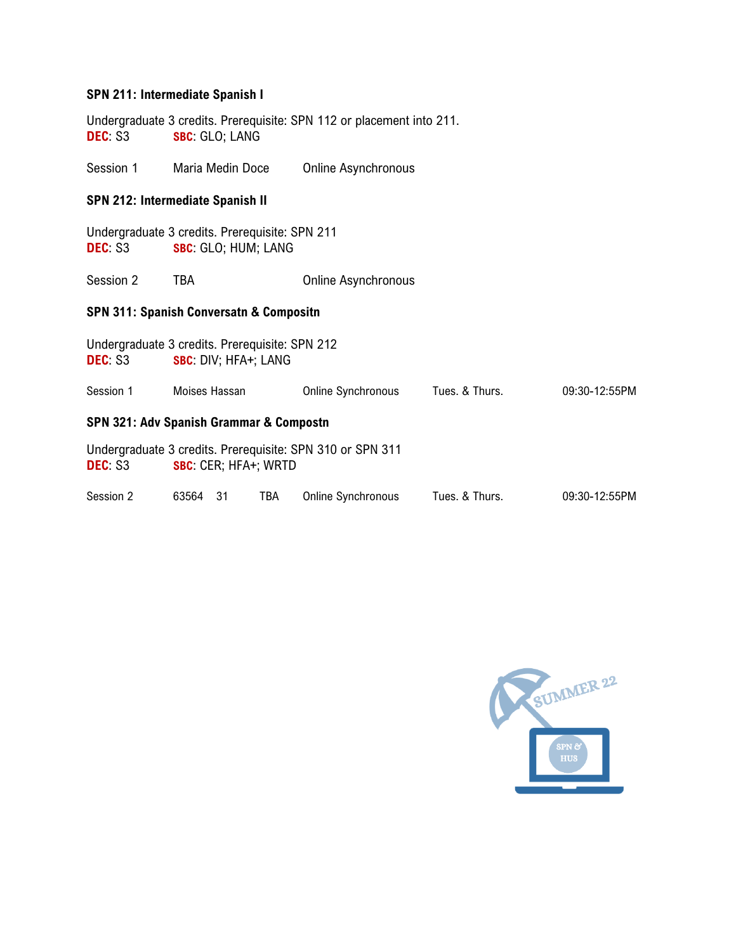### **SPN 211: Intermediate Spanish I**

Undergraduate 3 credits. Prerequisite: SPN 112 or placement into 211. **DEC**: S3 **SBC**: GLO; LANG

Session 1 Maria Medin Doce Online Asynchronous

### **SPN 212: Intermediate Spanish II**

|        | Undergraduate 3 credits. Prerequisite: SPN 211 |  |
|--------|------------------------------------------------|--|
| DEC S3 | <b>SBC:</b> GLO; HUM; LANG                     |  |

Session 2 TBA Quantity Quantity Quantity Quantity Quantity Quantity Quantity Quantity Quantity Quantity Quantity Quantity Quantity Quantity Quantity Quantity Quantity Q

### **SPN 311: Spanish Conversatn & Compositn**

| Undergraduate 3 credits. Prerequisite: SPN 212<br>DEC S3 |               |     | SBC: DIV; HFA+; LANG        |                                                           |                |               |
|----------------------------------------------------------|---------------|-----|-----------------------------|-----------------------------------------------------------|----------------|---------------|
| Session 1                                                | Moises Hassan |     |                             | <b>Online Synchronous</b>                                 | Tues. & Thurs. | 09:30-12:55PM |
| SPN 321: Adv Spanish Grammar & Compostn                  |               |     |                             |                                                           |                |               |
| DEC S3                                                   |               |     | <b>SBC: CER; HFA+; WRTD</b> | Undergraduate 3 credits. Prerequisite: SPN 310 or SPN 311 |                |               |
| Session 2                                                | 63564         | -31 | TBA                         | <b>Online Synchronous</b>                                 | Tues. & Thurs. | 09:30-12:55PM |

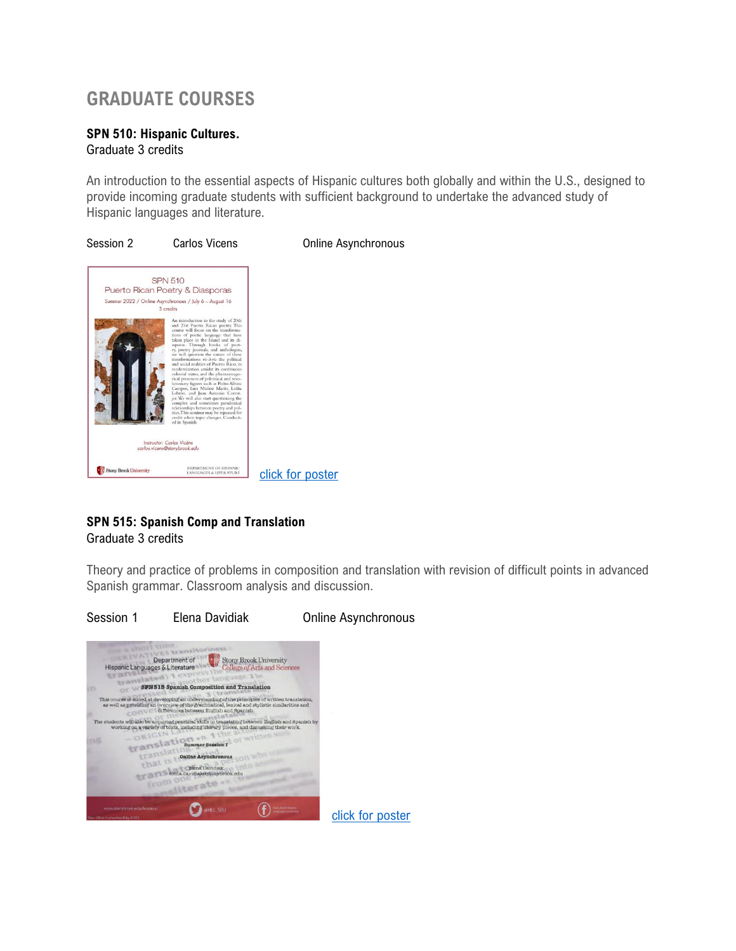## **GRADUATE COURSES**

### **SPN 510: Hispanic Cultures.** Graduate 3 credits

An introduction to the essential aspects of Hispanic cultures both globally and within the U.S., designed to provide incoming graduate students with sufficient background to undertake the advanced study of Hispanic languages and literature.

![](_page_2_Figure_3.jpeg)

### **SPN 515: Spanish Comp and Translation**

### Graduate 3 credits

Theory and practice of problems in composition and translation with revision of difficult points in advanced Spanish grammar. Classroom analysis and discussion.

![](_page_2_Picture_7.jpeg)

![](_page_2_Picture_8.jpeg)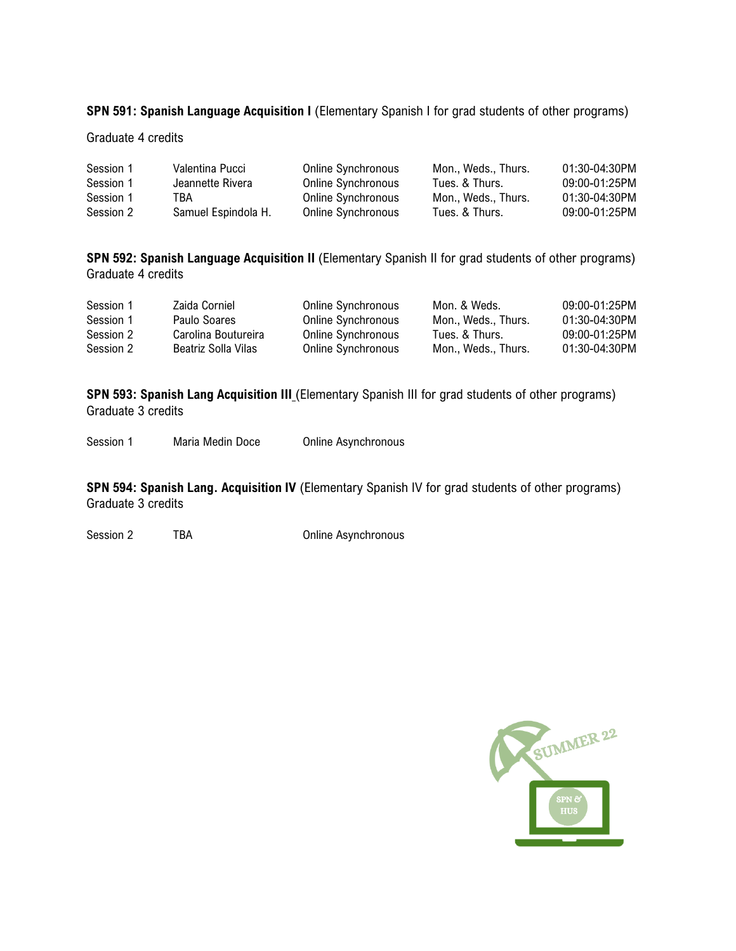### **SPN 591: Spanish Language Acquisition I** (Elementary Spanish I for grad students of other programs)

#### Graduate 4 credits

| Session 1 | Valentina Pucci     | Online Synchronous | Mon Weds Thurs. | 01:30-04:30PM |
|-----------|---------------------|--------------------|-----------------|---------------|
| Session 1 | Jeannette Rivera    | Online Synchronous | Tues. & Thurs.  | 09:00-01:25PM |
| Session 1 | тва                 | Online Synchronous | Mon Weds Thurs. | 01:30-04:30PM |
| Session 2 | Samuel Espindola H. | Online Synchronous | Tues. & Thurs.  | 09:00-01:25PM |

**SPN 592: Spanish Language Acquisition II** (Elementary Spanish II for grad students of other programs) Graduate 4 credits

| Session 1 | Zaida Corniel       | Online Synchronous | Mon. & Weds.    | 09:00-01:25PM |
|-----------|---------------------|--------------------|-----------------|---------------|
| Session 1 | Paulo Soares        | Online Synchronous | Mon Weds Thurs. | 01:30-04:30PM |
| Session 2 | Carolina Boutureira | Online Synchronous | Tues. & Thurs.  | 09:00-01:25PM |
| Session 2 | Beatriz Solla Vilas | Online Synchronous | Mon Weds Thurs. | 01:30-04:30PM |

**SPN 593: Spanish Lang Acquisition III** (Elementary Spanish III for grad students of other programs) Graduate 3 credits

Session 1 Maria Medin Doce Dolline Asynchronous

**SPN 594: Spanish Lang. Acquisition IV** (Elementary Spanish IV for grad students of other programs) Graduate 3 credits

Session 2 TBA Conline Asynchronous

![](_page_3_Picture_9.jpeg)